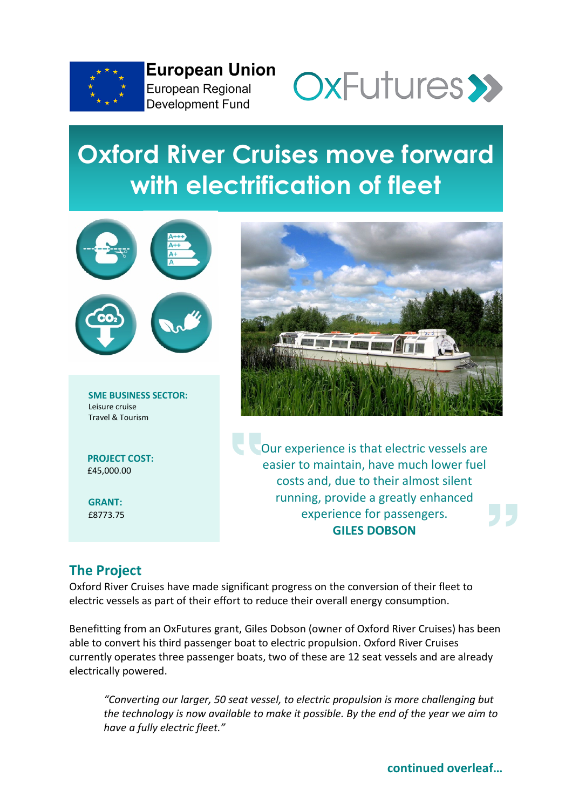

**European Union** European Regional **Development Fund** 



## **Oxford River Cruises move forward with electrification of fleet**



**PROJECT COST:** £45,000.00

**GRANT:** £8773.75



Our experience is that electric vessels are easier to maintain, have much lower fuel costs and, due to their almost silent running, provide a greatly enhanced experience for passengers. **GILES DOBSON**

## **The Project**

Oxford River Cruises have made significant progress on the conversion of their fleet to electric vessels as part of their effort to reduce their overall energy consumption.

Benefitting from an OxFutures grant, Giles Dobson (owner of Oxford River Cruises) has been able to convert his third passenger boat to electric propulsion. Oxford River Cruises currently operates three passenger boats, two of these are 12 seat vessels and are already electrically powered.

*"Converting our larger, 50 seat vessel, to electric propulsion is more challenging but the technology is now available to make it possible. By the end of the year we aim to have a fully electric fleet."*